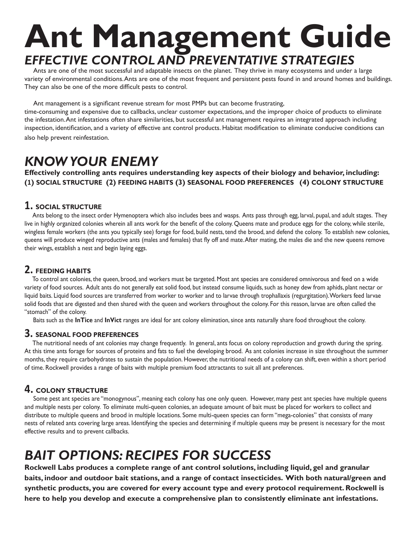# **Ant Management Guide** *EFFECTIVE CONTROL AND PREVENTATIVE STRATEGIES*

 Ants are one of the most successful and adaptable insects on the planet. They thrive in many ecosystems and under a large variety of environmental conditions. Ants are one of the most frequent and persistent pests found in and around homes and buildings. They can also be one of the more difficult pests to control.

Ant management is a significant revenue stream for most PMPs but can become frustrating,

time-consuming and expensive due to callbacks, unclear customer expectations, and the improper choice of products to eliminate the infestation. Ant infestations often share similarities, but successful ant management requires an integrated approach including inspection, identification, and a variety of effective ant control products. Habitat modification to eliminate conducive conditions can also help prevent reinfestation.

# *KNOW YOUR ENEMY*

**Effectively controlling ants requires understanding key aspects of their biology and behavior, including: (1) SOCIAL STRUCTURE (2) FEEDING HABITS (3) SEASONAL FOOD PREFERENCES (4) COLONY STRUCTURE**

### **1. SOCIAL STRUCTURE**

 Ants belong to the insect order Hymenoptera which also includes bees and wasps. Ants pass through egg, larval, pupal, and adult stages. They live in highly organized colonies wherein all ants work for the benefit of the colony. Queens mate and produce eggs for the colony, while sterile, wingless female workers (the ants you typically see) forage for food, build nests, tend the brood, and defend the colony. To establish new colonies, queens will produce winged reproductive ants (males and females) that fly off and mate. After mating, the males die and the new queens remove their wings, establish a nest and begin laying eggs.

## **2. FEEDING HABITS**

 To control ant colonies, the queen, brood, and workers must be targeted. Most ant species are considered omnivorous and feed on a wide variety of food sources. Adult ants do not generally eat solid food, but instead consume liquids, such as honey dew from aphids, plant nectar or liquid baits. Liquid food sources are transferred from worker to worker and to larvae through trophallaxis (regurgitation). Workers feed larvae solid foods that are digested and then shared with the queen and workers throughout the colony. For this reason, larvae are often called the "stomach" of the colony.

Baits such as the **InTice** and **InVict** ranges are ideal for ant colony elimination, since ants naturally share food throughout the colony.

### **3. SEASONAL FOOD PREFERENCES**

 The nutritional needs of ant colonies may change frequently. In general, ants focus on colony reproduction and growth during the spring. At this time ants forage for sources of proteins and fats to fuel the developing brood. As ant colonies increase in size throughout the summer months, they require carbohydrates to sustain the population. However, the nutritional needs of a colony can shift, even within a short period of time. Rockwell provides a range of baits with multiple premium food attractants to suit all ant preferences.

### **4. COLONY STRUCTURE**

 Some pest ant species are "monogynous", meaning each colony has one only queen. However, many pest ant species have multiple queens and multiple nests per colony. To eliminate multi-queen colonies, an adequate amount of bait must be placed for workers to collect and distribute to multiple queens and brood in multiple locations. Some multi-queen species can form "mega-colonies" that consists of many nests of related ants covering large areas. Identifying the species and determining if multiple queens may be present is necessary for the most effective results and to prevent callbacks.

# *BAIT OPTIONS: RECIPES FOR SUCCESS*

**Rockwell Labs produces a complete range of ant control solutions, including liquid, gel and granular baits, indoor and outdoor bait stations, and a range of contact insecticides. With both natural/green and synthetic products, you are covered for every account type and every protocol requirement. Rockwell is here to help you develop and execute a comprehensive plan to consistently eliminate ant infestations.**